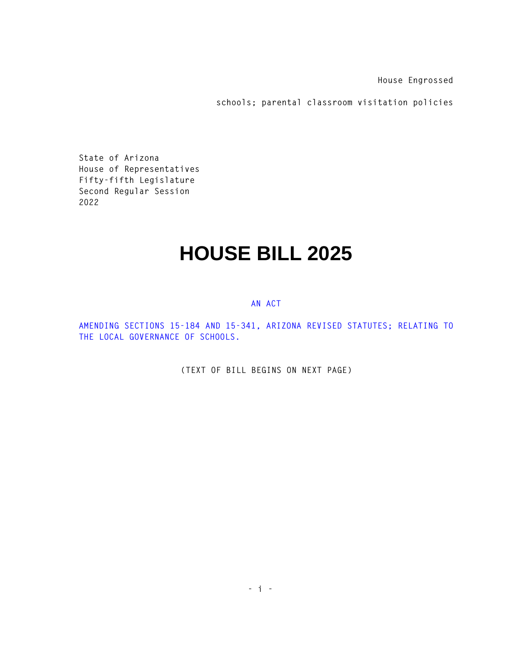**House Engrossed** 

**schools; parental classroom visitation policies** 

**State of Arizona House of Representatives Fifty-fifth Legislature Second Regular Session 2022** 

## **HOUSE BILL 2025**

## **AN ACT**

**AMENDING SECTIONS 15-184 AND 15-341, ARIZONA REVISED STATUTES; RELATING TO THE LOCAL GOVERNANCE OF SCHOOLS.** 

**(TEXT OF BILL BEGINS ON NEXT PAGE)**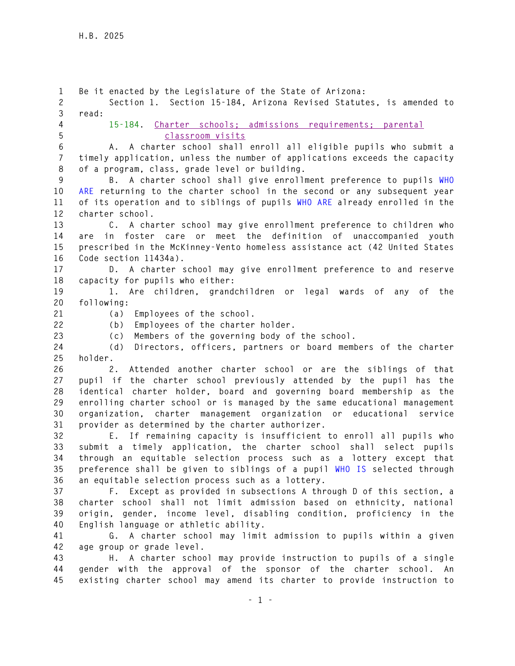**1 Be it enacted by the Legislature of the State of Arizona: 2 Section 1. Section 15-184, Arizona Revised Statutes, is amended to 3 read: 4 15-184. Charter schools; admissions requirements; parental 5 classroom visits 6 A. A charter school shall enroll all eligible pupils who submit a 7 timely application, unless the number of applications exceeds the capacity 8 of a program, class, grade level or building. 9 B. A charter school shall give enrollment preference to pupils WHO 10 ARE returning to the charter school in the second or any subsequent year 11 of its operation and to siblings of pupils WHO ARE already enrolled in the 12 charter school. 13 C. A charter school may give enrollment preference to children who 14 are in foster care or meet the definition of unaccompanied youth 15 prescribed in the McKinney-Vento homeless assistance act (42 United States 16 Code section 11434a). 17 D. A charter school may give enrollment preference to and reserve 18 capacity for pupils who either: 19 1. Are children, grandchildren or legal wards of any of the 20 following: 21 (a) Employees of the school. 22 (b) Employees of the charter holder. 23 (c) Members of the governing body of the school. 24 (d) Directors, officers, partners or board members of the charter 25 holder. 26 2. Attended another charter school or are the siblings of that 27 pupil if the charter school previously attended by the pupil has the 28 identical charter holder, board and governing board membership as the 29 enrolling charter school or is managed by the same educational management 30 organization, charter management organization or educational service 31 provider as determined by the charter authorizer. 32 E. If remaining capacity is insufficient to enroll all pupils who 33 submit a timely application, the charter school shall select pupils 34 through an equitable selection process such as a lottery except that 35 preference shall be given to siblings of a pupil WHO IS selected through 36 an equitable selection process such as a lottery. 37 F. Except as provided in subsections A through D of this section, a 38 charter school shall not limit admission based on ethnicity, national 39 origin, gender, income level, disabling condition, proficiency in the 40 English language or athletic ability. 41 G. A charter school may limit admission to pupils within a given 42 age group or grade level. 43 H. A charter school may provide instruction to pupils of a single 44 gender with the approval of the sponsor of the charter school. An 45 existing charter school may amend its charter to provide instruction to**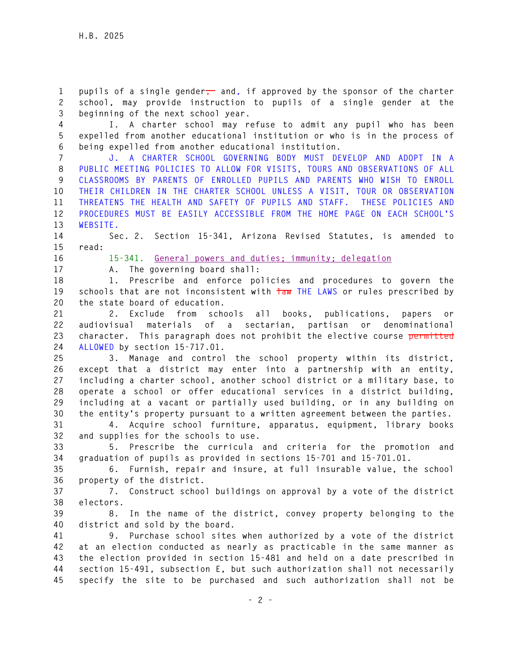1 pupils of a single gender<sup>1</sup> and, if approved by the sponsor of the charter **2 school, may provide instruction to pupils of a single gender at the 3 beginning of the next school year.** 

**4 I. A charter school may refuse to admit any pupil who has been 5 expelled from another educational institution or who is in the process of 6 being expelled from another educational institution.** 

**7 J. A CHARTER SCHOOL GOVERNING BODY MUST DEVELOP AND ADOPT IN A 8 PUBLIC MEETING POLICIES TO ALLOW FOR VISITS, TOURS AND OBSERVATIONS OF ALL 9 CLASSROOMS BY PARENTS OF ENROLLED PUPILS AND PARENTS WHO WISH TO ENROLL 10 THEIR CHILDREN IN THE CHARTER SCHOOL UNLESS A VISIT, TOUR OR OBSERVATION 11 THREATENS THE HEALTH AND SAFETY OF PUPILS AND STAFF. THESE POLICIES AND 12 PROCEDURES MUST BE EASILY ACCESSIBLE FROM THE HOME PAGE ON EACH SCHOOL'S 13 WEBSITE.** 

**14 Sec. 2. Section 15-341, Arizona Revised Statutes, is amended to 15 read:** 

**16 15-341. General powers and duties; immunity; delegation**

**17 A. The governing board shall:** 

**18 1. Prescribe and enforce policies and procedures to govern the**  19 schools that are not inconsistent with  $\frac{1}{100}$  THE LAWS or rules prescribed by **20 the state board of education.** 

**21 2. Exclude from schools all books, publications, papers or 22 audiovisual materials of a sectarian, partisan or denominational 23 character. This paragraph does not prohibit the elective course permitted 24 ALLOWED by section 15-717.01.** 

**25 3. Manage and control the school property within its district, 26 except that a district may enter into a partnership with an entity, 27 including a charter school, another school district or a military base, to 28 operate a school or offer educational services in a district building, 29 including at a vacant or partially used building, or in any building on 30 the entity's property pursuant to a written agreement between the parties.** 

**31 4. Acquire school furniture, apparatus, equipment, library books 32 and supplies for the schools to use.** 

**33 5. Prescribe the curricula and criteria for the promotion and 34 graduation of pupils as provided in sections 15-701 and 15-701.01.** 

**35 6. Furnish, repair and insure, at full insurable value, the school 36 property of the district.** 

**37 7. Construct school buildings on approval by a vote of the district 38 electors.** 

**39 8. In the name of the district, convey property belonging to the 40 district and sold by the board.** 

**41 9. Purchase school sites when authorized by a vote of the district 42 at an election conducted as nearly as practicable in the same manner as 43 the election provided in section 15-481 and held on a date prescribed in 44 section 15-491, subsection E, but such authorization shall not necessarily 45 specify the site to be purchased and such authorization shall not be**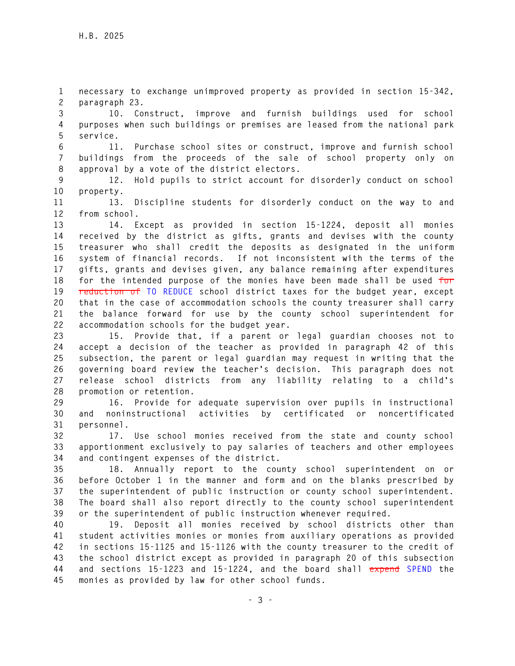**1 necessary to exchange unimproved property as provided in section 15-342, 2 paragraph 23.** 

**3 10. Construct, improve and furnish buildings used for school 4 purposes when such buildings or premises are leased from the national park 5 service.** 

**6 11. Purchase school sites or construct, improve and furnish school 7 buildings from the proceeds of the sale of school property only on 8 approval by a vote of the district electors.** 

**9 12. Hold pupils to strict account for disorderly conduct on school 10 property.** 

**11 13. Discipline students for disorderly conduct on the way to and 12 from school.** 

**13 14. Except as provided in section 15-1224, deposit all monies 14 received by the district as gifts, grants and devises with the county 15 treasurer who shall credit the deposits as designated in the uniform 16 system of financial records. If not inconsistent with the terms of the 17 gifts, grants and devises given, any balance remaining after expenditures 18 for the intended purpose of the monies have been made shall be used for 19 reduction of TO REDUCE school district taxes for the budget year, except 20 that in the case of accommodation schools the county treasurer shall carry 21 the balance forward for use by the county school superintendent for 22 accommodation schools for the budget year.** 

**23 15. Provide that, if a parent or legal guardian chooses not to 24 accept a decision of the teacher as provided in paragraph 42 of this 25 subsection, the parent or legal guardian may request in writing that the 26 governing board review the teacher's decision. This paragraph does not 27 release school districts from any liability relating to a child's 28 promotion or retention.** 

**29 16. Provide for adequate supervision over pupils in instructional 30 and noninstructional activities by certificated or noncertificated 31 personnel.** 

**32 17. Use school monies received from the state and county school 33 apportionment exclusively to pay salaries of teachers and other employees 34 and contingent expenses of the district.** 

**35 18. Annually report to the county school superintendent on or 36 before October 1 in the manner and form and on the blanks prescribed by 37 the superintendent of public instruction or county school superintendent. 38 The board shall also report directly to the county school superintendent 39 or the superintendent of public instruction whenever required.** 

**40 19. Deposit all monies received by school districts other than 41 student activities monies or monies from auxiliary operations as provided 42 in sections 15-1125 and 15-1126 with the county treasurer to the credit of 43 the school district except as provided in paragraph 20 of this subsection 44 and sections 15-1223 and 15-1224, and the board shall expend SPEND the 45 monies as provided by law for other school funds.**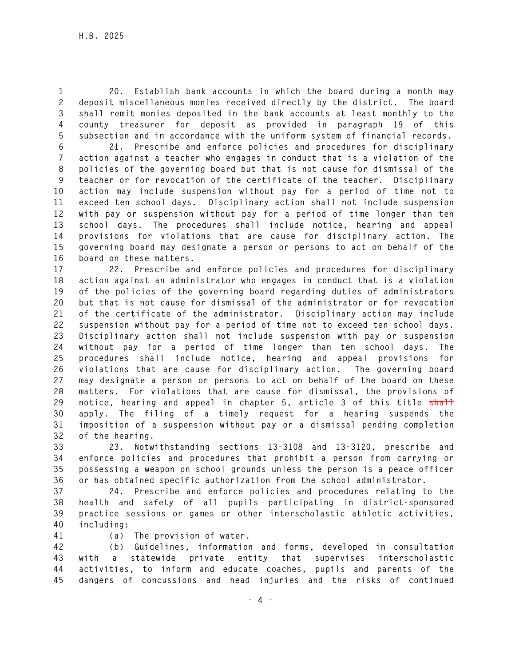**1 20. Establish bank accounts in which the board during a month may 2 deposit miscellaneous monies received directly by the district. The board 3 shall remit monies deposited in the bank accounts at least monthly to the 4 county treasurer for deposit as provided in paragraph 19 of this 5 subsection and in accordance with the uniform system of financial records.** 

**6 21. Prescribe and enforce policies and procedures for disciplinary 7 action against a teacher who engages in conduct that is a violation of the 8 policies of the governing board but that is not cause for dismissal of the 9 teacher or for revocation of the certificate of the teacher. Disciplinary 10 action may include suspension without pay for a period of time not to 11 exceed ten school days. Disciplinary action shall not include suspension 12 with pay or suspension without pay for a period of time longer than ten 13 school days. The procedures shall include notice, hearing and appeal 14 provisions for violations that are cause for disciplinary action. The 15 governing board may designate a person or persons to act on behalf of the 16 board on these matters.** 

**17 22. Prescribe and enforce policies and procedures for disciplinary 18 action against an administrator who engages in conduct that is a violation 19 of the policies of the governing board regarding duties of administrators 20 but that is not cause for dismissal of the administrator or for revocation 21 of the certificate of the administrator. Disciplinary action may include 22 suspension without pay for a period of time not to exceed ten school days. 23 Disciplinary action shall not include suspension with pay or suspension 24 without pay for a period of time longer than ten school days. The 25 procedures shall include notice, hearing and appeal provisions for 26 violations that are cause for disciplinary action. The governing board 27 may designate a person or persons to act on behalf of the board on these 28 matters. For violations that are cause for dismissal, the provisions of**  29 notice, hearing and appeal in chapter 5, article 3 of this title shall **30 apply. The filing of a timely request for a hearing suspends the 31 imposition of a suspension without pay or a dismissal pending completion 32 of the hearing.** 

**33 23. Notwithstanding sections 13-3108 and 13-3120, prescribe and 34 enforce policies and procedures that prohibit a person from carrying or 35 possessing a weapon on school grounds unless the person is a peace officer 36 or has obtained specific authorization from the school administrator.** 

**37 24. Prescribe and enforce policies and procedures relating to the 38 health and safety of all pupils participating in district-sponsored 39 practice sessions or games or other interscholastic athletic activities, 40 including:** 

- 
- **41 (a) The provision of water.**

**42 (b) Guidelines, information and forms, developed in consultation 43 with a statewide private entity that supervises interscholastic 44 activities, to inform and educate coaches, pupils and parents of the 45 dangers of concussions and head injuries and the risks of continued**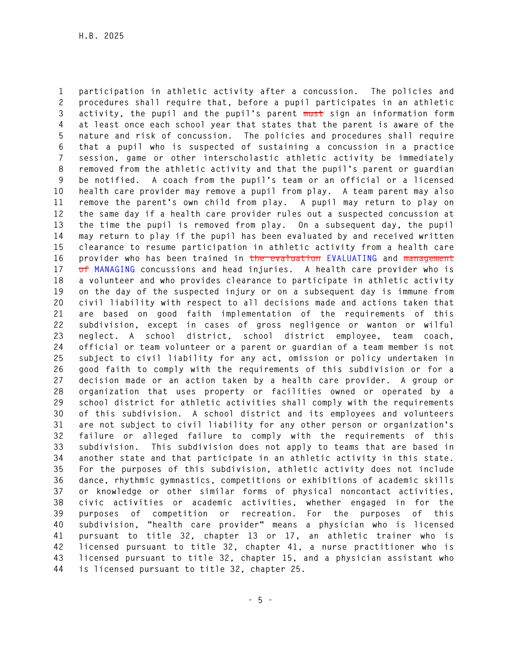**1 participation in athletic activity after a concussion. The policies and 2 procedures shall require that, before a pupil participates in an athletic 3 activity, the pupil and the pupil's parent must sign an information form 4 at least once each school year that states that the parent is aware of the 5 nature and risk of concussion. The policies and procedures shall require 6 that a pupil who is suspected of sustaining a concussion in a practice 7 session, game or other interscholastic athletic activity be immediately 8 removed from the athletic activity and that the pupil's parent or guardian 9 be notified. A coach from the pupil's team or an official or a licensed 10 health care provider may remove a pupil from play. A team parent may also 11 remove the parent's own child from play. A pupil may return to play on 12 the same day if a health care provider rules out a suspected concussion at 13 the time the pupil is removed from play. On a subsequent day, the pupil 14 may return to play if the pupil has been evaluated by and received written 15 clearance to resume participation in athletic activity from a health care 16 provider who has been trained in the evaluation EVALUATING and management 17 of MANAGING concussions and head injuries. A health care provider who is 18 a volunteer and who provides clearance to participate in athletic activity 19 on the day of the suspected injury or on a subsequent day is immune from 20 civil liability with respect to all decisions made and actions taken that 21 are based on good faith implementation of the requirements of this 22 subdivision, except in cases of gross negligence or wanton or wilful 23 neglect. A school district, school district employee, team coach, 24 official or team volunteer or a parent or guardian of a team member is not 25 subject to civil liability for any act, omission or policy undertaken in 26 good faith to comply with the requirements of this subdivision or for a 27 decision made or an action taken by a health care provider. A group or 28 organization that uses property or facilities owned or operated by a 29 school district for athletic activities shall comply with the requirements 30 of this subdivision. A school district and its employees and volunteers 31 are not subject to civil liability for any other person or organization's 32 failure or alleged failure to comply with the requirements of this 33 subdivision. This subdivision does not apply to teams that are based in 34 another state and that participate in an athletic activity in this state. 35 For the purposes of this subdivision, athletic activity does not include 36 dance, rhythmic gymnastics, competitions or exhibitions of academic skills 37 or knowledge or other similar forms of physical noncontact activities, 38 civic activities or academic activities, whether engaged in for the 39 purposes of competition or recreation. For the purposes of this 40 subdivision, "health care provider" means a physician who is licensed 41 pursuant to title 32, chapter 13 or 17, an athletic trainer who is 42 licensed pursuant to title 32, chapter 41, a nurse practitioner who is 43 licensed pursuant to title 32, chapter 15, and a physician assistant who 44 is licensed pursuant to title 32, chapter 25.**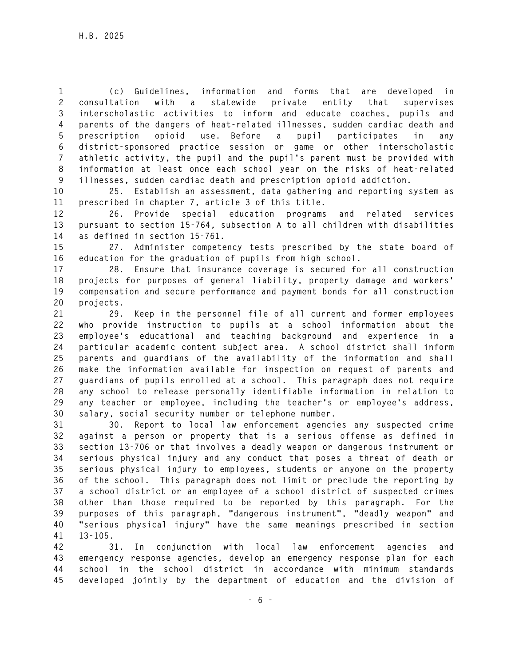**1 (c) Guidelines, information and forms that are developed in 2 consultation with a statewide private entity that supervises 3 interscholastic activities to inform and educate coaches, pupils and 4 parents of the dangers of heat-related illnesses, sudden cardiac death and 5 prescription opioid use. Before a pupil participates in any 6 district-sponsored practice session or game or other interscholastic 7 athletic activity, the pupil and the pupil's parent must be provided with 8 information at least once each school year on the risks of heat-related 9 illnesses, sudden cardiac death and prescription opioid addiction.** 

**10 25. Establish an assessment, data gathering and reporting system as 11 prescribed in chapter 7, article 3 of this title.** 

**12 26. Provide special education programs and related services 13 pursuant to section 15-764, subsection A to all children with disabilities 14 as defined in section 15-761.** 

**15 27. Administer competency tests prescribed by the state board of 16 education for the graduation of pupils from high school.** 

**17 28. Ensure that insurance coverage is secured for all construction 18 projects for purposes of general liability, property damage and workers' 19 compensation and secure performance and payment bonds for all construction 20 projects.** 

**21 29. Keep in the personnel file of all current and former employees 22 who provide instruction to pupils at a school information about the 23 employee's educational and teaching background and experience in a 24 particular academic content subject area. A school district shall inform 25 parents and guardians of the availability of the information and shall 26 make the information available for inspection on request of parents and 27 guardians of pupils enrolled at a school. This paragraph does not require 28 any school to release personally identifiable information in relation to 29 any teacher or employee, including the teacher's or employee's address, 30 salary, social security number or telephone number.** 

**31 30. Report to local law enforcement agencies any suspected crime 32 against a person or property that is a serious offense as defined in 33 section 13-706 or that involves a deadly weapon or dangerous instrument or 34 serious physical injury and any conduct that poses a threat of death or 35 serious physical injury to employees, students or anyone on the property 36 of the school. This paragraph does not limit or preclude the reporting by 37 a school district or an employee of a school district of suspected crimes 38 other than those required to be reported by this paragraph. For the 39 purposes of this paragraph, "dangerous instrument", "deadly weapon" and 40 "serious physical injury" have the same meanings prescribed in section 41 13-105.** 

**42 31. In conjunction with local law enforcement agencies and 43 emergency response agencies, develop an emergency response plan for each 44 school in the school district in accordance with minimum standards 45 developed jointly by the department of education and the division of**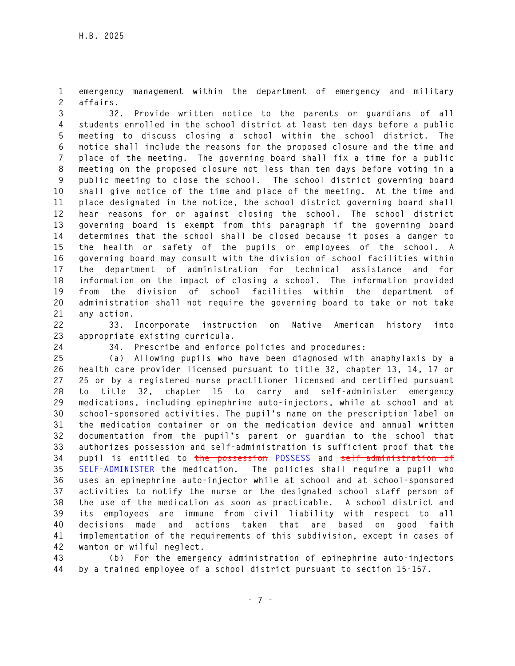**1 emergency management within the department of emergency and military 2 affairs.** 

**3 32. Provide written notice to the parents or guardians of all 4 students enrolled in the school district at least ten days before a public 5 meeting to discuss closing a school within the school district. The 6 notice shall include the reasons for the proposed closure and the time and 7 place of the meeting. The governing board shall fix a time for a public 8 meeting on the proposed closure not less than ten days before voting in a 9 public meeting to close the school. The school district governing board 10 shall give notice of the time and place of the meeting. At the time and 11 place designated in the notice, the school district governing board shall 12 hear reasons for or against closing the school. The school district 13 governing board is exempt from this paragraph if the governing board 14 determines that the school shall be closed because it poses a danger to 15 the health or safety of the pupils or employees of the school. A 16 governing board may consult with the division of school facilities within 17 the department of administration for technical assistance and for 18 information on the impact of closing a school. The information provided 19 from the division of school facilities within the department of 20 administration shall not require the governing board to take or not take 21 any action.** 

**22 33. Incorporate instruction on Native American history into 23 appropriate existing curricula.** 

**24 34. Prescribe and enforce policies and procedures:** 

**25 (a) Allowing pupils who have been diagnosed with anaphylaxis by a 26 health care provider licensed pursuant to title 32, chapter 13, 14, 17 or 27 25 or by a registered nurse practitioner licensed and certified pursuant 28 to title 32, chapter 15 to carry and self-administer emergency 29 medications, including epinephrine auto-injectors, while at school and at 30 school-sponsored activities. The pupil's name on the prescription label on 31 the medication container or on the medication device and annual written 32 documentation from the pupil's parent or guardian to the school that 33 authorizes possession and self-administration is sufficient proof that the 34 pupil is entitled to the possession POSSESS and self-administration of 35 SELF-ADMINISTER the medication. The policies shall require a pupil who 36 uses an epinephrine auto-injector while at school and at school-sponsored 37 activities to notify the nurse or the designated school staff person of 38 the use of the medication as soon as practicable. A school district and 39 its employees are immune from civil liability with respect to all 40 decisions made and actions taken that are based on good faith 41 implementation of the requirements of this subdivision, except in cases of 42 wanton or wilful neglect.** 

**43 (b) For the emergency administration of epinephrine auto-injectors 44 by a trained employee of a school district pursuant to section 15-157.**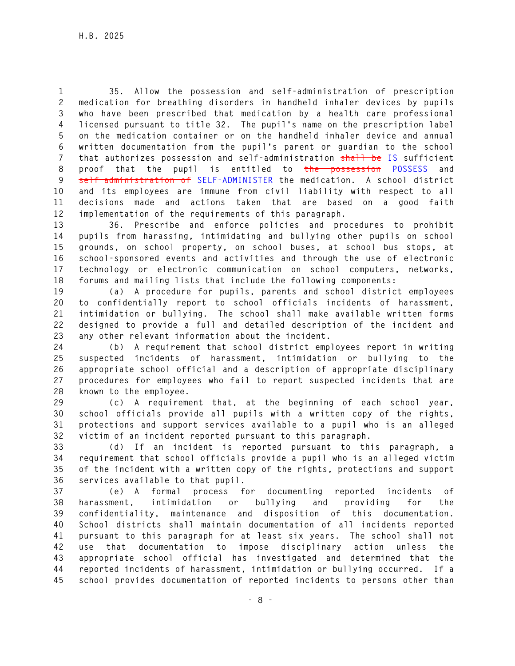**1 35. Allow the possession and self-administration of prescription 2 medication for breathing disorders in handheld inhaler devices by pupils 3 who have been prescribed that medication by a health care professional 4 licensed pursuant to title 32. The pupil's name on the prescription label 5 on the medication container or on the handheld inhaler device and annual 6 written documentation from the pupil's parent or guardian to the school 7 that authorizes possession and self-administration shall be IS sufficient 8 proof that the pupil is entitled to the possession POSSESS and 9 self-administration of SELF-ADMINISTER the medication. A school district 10 and its employees are immune from civil liability with respect to all 11 decisions made and actions taken that are based on a good faith 12 implementation of the requirements of this paragraph.** 

**13 36. Prescribe and enforce policies and procedures to prohibit 14 pupils from harassing, intimidating and bullying other pupils on school 15 grounds, on school property, on school buses, at school bus stops, at 16 school-sponsored events and activities and through the use of electronic 17 technology or electronic communication on school computers, networks, 18 forums and mailing lists that include the following components:** 

**19 (a) A procedure for pupils, parents and school district employees 20 to confidentially report to school officials incidents of harassment, 21 intimidation or bullying. The school shall make available written forms 22 designed to provide a full and detailed description of the incident and 23 any other relevant information about the incident.** 

**24 (b) A requirement that school district employees report in writing 25 suspected incidents of harassment, intimidation or bullying to the 26 appropriate school official and a description of appropriate disciplinary 27 procedures for employees who fail to report suspected incidents that are 28 known to the employee.** 

**29 (c) A requirement that, at the beginning of each school year, 30 school officials provide all pupils with a written copy of the rights, 31 protections and support services available to a pupil who is an alleged 32 victim of an incident reported pursuant to this paragraph.** 

**33 (d) If an incident is reported pursuant to this paragraph, a 34 requirement that school officials provide a pupil who is an alleged victim 35 of the incident with a written copy of the rights, protections and support 36 services available to that pupil.** 

**37 (e) A formal process for documenting reported incidents of 38 harassment, intimidation or bullying and providing for the 39 confidentiality, maintenance and disposition of this documentation. 40 School districts shall maintain documentation of all incidents reported 41 pursuant to this paragraph for at least six years. The school shall not 42 use that documentation to impose disciplinary action unless the 43 appropriate school official has investigated and determined that the 44 reported incidents of harassment, intimidation or bullying occurred. If a 45 school provides documentation of reported incidents to persons other than**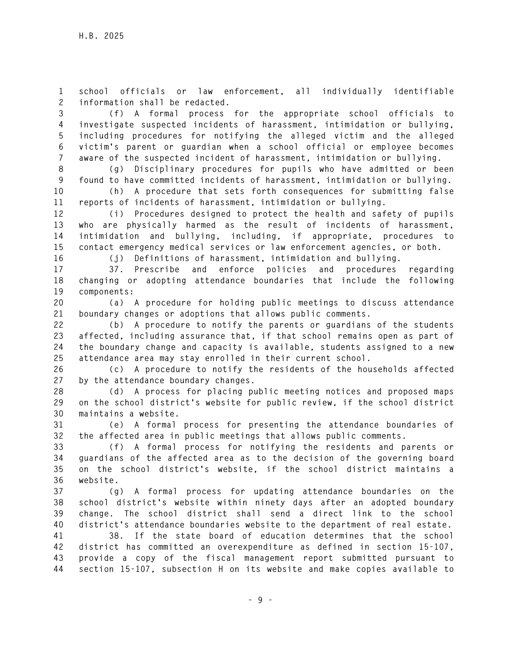**1 school officials or law enforcement, all individually identifiable 2 information shall be redacted.** 

**3 (f) A formal process for the appropriate school officials to 4 investigate suspected incidents of harassment, intimidation or bullying, 5 including procedures for notifying the alleged victim and the alleged 6 victim's parent or guardian when a school official or employee becomes 7 aware of the suspected incident of harassment, intimidation or bullying.** 

**8 (g) Disciplinary procedures for pupils who have admitted or been 9 found to have committed incidents of harassment, intimidation or bullying. 10 (h) A procedure that sets forth consequences for submitting false** 

**11 reports of incidents of harassment, intimidation or bullying.** 

**12 (i) Procedures designed to protect the health and safety of pupils 13 who are physically harmed as the result of incidents of harassment, 14 intimidation and bullying, including, if appropriate, procedures to 15 contact emergency medical services or law enforcement agencies, or both.** 

**16 (j) Definitions of harassment, intimidation and bullying.** 

**17 37. Prescribe and enforce policies and procedures regarding 18 changing or adopting attendance boundaries that include the following 19 components:** 

**20 (a) A procedure for holding public meetings to discuss attendance 21 boundary changes or adoptions that allows public comments.** 

**22 (b) A procedure to notify the parents or guardians of the students 23 affected, including assurance that, if that school remains open as part of 24 the boundary change and capacity is available, students assigned to a new 25 attendance area may stay enrolled in their current school.** 

**26 (c) A procedure to notify the residents of the households affected 27 by the attendance boundary changes.** 

**28 (d) A process for placing public meeting notices and proposed maps 29 on the school district's website for public review, if the school district 30 maintains a website.** 

**31 (e) A formal process for presenting the attendance boundaries of 32 the affected area in public meetings that allows public comments.** 

**33 (f) A formal process for notifying the residents and parents or 34 guardians of the affected area as to the decision of the governing board 35 on the school district's website, if the school district maintains a 36 website.** 

**37 (g) A formal process for updating attendance boundaries on the 38 school district's website within ninety days after an adopted boundary 39 change. The school district shall send a direct link to the school 40 district's attendance boundaries website to the department of real estate.** 

**41 38. If the state board of education determines that the school 42 district has committed an overexpenditure as defined in section 15-107, 43 provide a copy of the fiscal management report submitted pursuant to 44 section 15-107, subsection H on its website and make copies available to**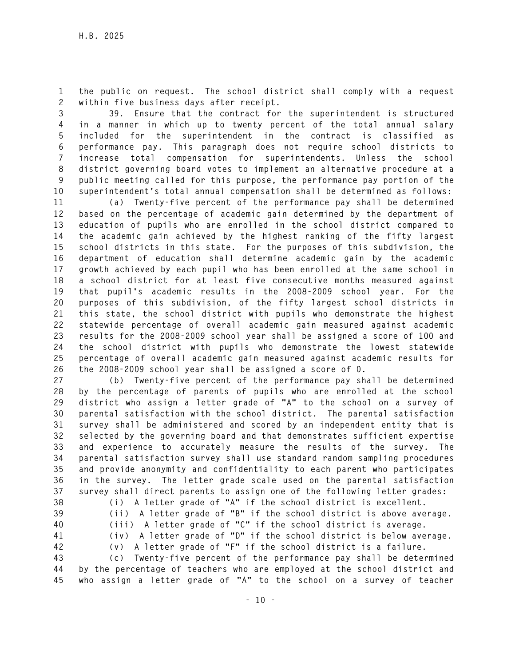**1 the public on request. The school district shall comply with a request 2 within five business days after receipt.** 

**3 39. Ensure that the contract for the superintendent is structured 4 in a manner in which up to twenty percent of the total annual salary 5 included for the superintendent in the contract is classified as 6 performance pay. This paragraph does not require school districts to 7 increase total compensation for superintendents. Unless the school 8 district governing board votes to implement an alternative procedure at a 9 public meeting called for this purpose, the performance pay portion of the 10 superintendent's total annual compensation shall be determined as follows:** 

**11 (a) Twenty-five percent of the performance pay shall be determined 12 based on the percentage of academic gain determined by the department of 13 education of pupils who are enrolled in the school district compared to 14 the academic gain achieved by the highest ranking of the fifty largest 15 school districts in this state. For the purposes of this subdivision, the 16 department of education shall determine academic gain by the academic 17 growth achieved by each pupil who has been enrolled at the same school in 18 a school district for at least five consecutive months measured against 19 that pupil's academic results in the 2008-2009 school year. For the 20 purposes of this subdivision, of the fifty largest school districts in 21 this state, the school district with pupils who demonstrate the highest 22 statewide percentage of overall academic gain measured against academic 23 results for the 2008-2009 school year shall be assigned a score of 100 and 24 the school district with pupils who demonstrate the lowest statewide 25 percentage of overall academic gain measured against academic results for 26 the 2008-2009 school year shall be assigned a score of 0.** 

**27 (b) Twenty-five percent of the performance pay shall be determined 28 by the percentage of parents of pupils who are enrolled at the school 29 district who assign a letter grade of "A" to the school on a survey of 30 parental satisfaction with the school district. The parental satisfaction 31 survey shall be administered and scored by an independent entity that is 32 selected by the governing board and that demonstrates sufficient expertise 33 and experience to accurately measure the results of the survey. The 34 parental satisfaction survey shall use standard random sampling procedures 35 and provide anonymity and confidentiality to each parent who participates 36 in the survey. The letter grade scale used on the parental satisfaction 37 survey shall direct parents to assign one of the following letter grades:** 

- 
- 
- 
- 

**38 (i) A letter grade of "A" if the school district is excellent. 39 (ii) A letter grade of "B" if the school district is above average.** 

- **40 (iii) A letter grade of "C" if the school district is average. 41 (iv) A letter grade of "D" if the school district is below average.**
- 

**42 (v) A letter grade of "F" if the school district is a failure.** 

**43 (c) Twenty-five percent of the performance pay shall be determined 44 by the percentage of teachers who are employed at the school district and 45 who assign a letter grade of "A" to the school on a survey of teacher**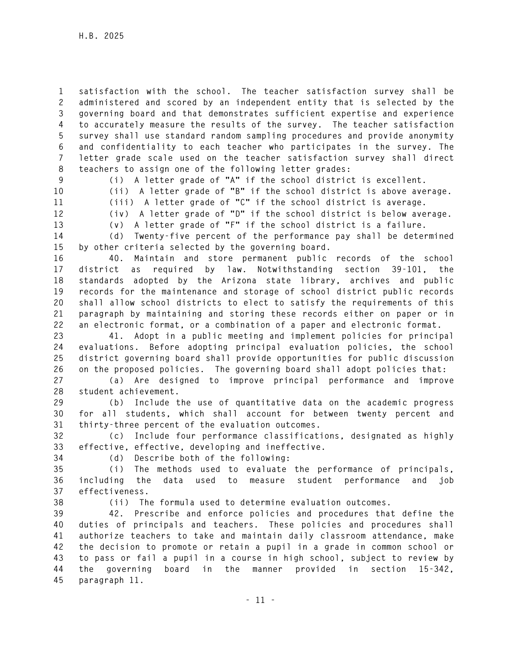**1 satisfaction with the school. The teacher satisfaction survey shall be 2 administered and scored by an independent entity that is selected by the 3 governing board and that demonstrates sufficient expertise and experience 4 to accurately measure the results of the survey. The teacher satisfaction 5 survey shall use standard random sampling procedures and provide anonymity 6 and confidentiality to each teacher who participates in the survey. The 7 letter grade scale used on the teacher satisfaction survey shall direct 8 teachers to assign one of the following letter grades:** 

**9 (i) A letter grade of "A" if the school district is excellent.** 

**10 (ii) A letter grade of "B" if the school district is above average.** 

**11 (iii) A letter grade of "C" if the school district is average.** 

**12 (iv) A letter grade of "D" if the school district is below average. 13 (v) A letter grade of "F" if the school district is a failure.** 

**14 (d) Twenty-five percent of the performance pay shall be determined 15 by other criteria selected by the governing board.** 

**16 40. Maintain and store permanent public records of the school 17 district as required by law. Notwithstanding section 39-101, the 18 standards adopted by the Arizona state library, archives and public 19 records for the maintenance and storage of school district public records 20 shall allow school districts to elect to satisfy the requirements of this 21 paragraph by maintaining and storing these records either on paper or in 22 an electronic format, or a combination of a paper and electronic format.** 

**23 41. Adopt in a public meeting and implement policies for principal 24 evaluations. Before adopting principal evaluation policies, the school 25 district governing board shall provide opportunities for public discussion 26 on the proposed policies. The governing board shall adopt policies that:** 

**27 (a) Are designed to improve principal performance and improve 28 student achievement.** 

**29 (b) Include the use of quantitative data on the academic progress 30 for all students, which shall account for between twenty percent and 31 thirty-three percent of the evaluation outcomes.** 

**32 (c) Include four performance classifications, designated as highly 33 effective, effective, developing and ineffective.** 

**34 (d) Describe both of the following:** 

**35 (i) The methods used to evaluate the performance of principals, 36 including the data used to measure student performance and job 37 effectiveness.** 

**38 (ii) The formula used to determine evaluation outcomes.** 

**39 42. Prescribe and enforce policies and procedures that define the 40 duties of principals and teachers. These policies and procedures shall 41 authorize teachers to take and maintain daily classroom attendance, make 42 the decision to promote or retain a pupil in a grade in common school or 43 to pass or fail a pupil in a course in high school, subject to review by 44 the governing board in the manner provided in section 15-342, 45 paragraph 11.**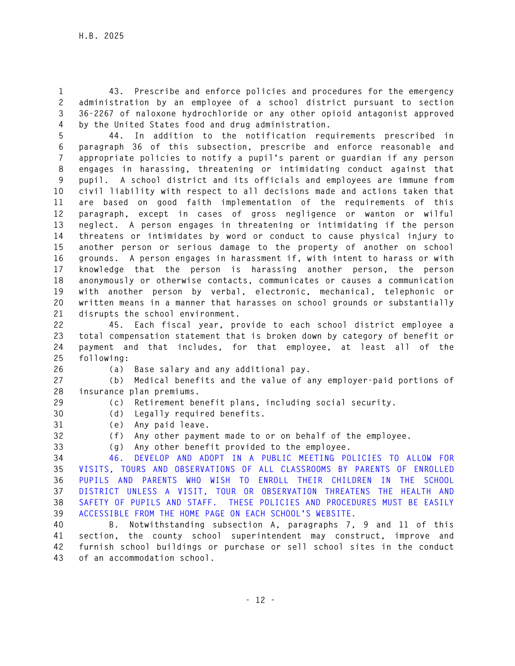**1 43. Prescribe and enforce policies and procedures for the emergency 2 administration by an employee of a school district pursuant to section 3 36-2267 of naloxone hydrochloride or any other opioid antagonist approved 4 by the United States food and drug administration.** 

**5 44. In addition to the notification requirements prescribed in 6 paragraph 36 of this subsection, prescribe and enforce reasonable and 7 appropriate policies to notify a pupil's parent or guardian if any person 8 engages in harassing, threatening or intimidating conduct against that 9 pupil. A school district and its officials and employees are immune from 10 civil liability with respect to all decisions made and actions taken that 11 are based on good faith implementation of the requirements of this 12 paragraph, except in cases of gross negligence or wanton or wilful 13 neglect. A person engages in threatening or intimidating if the person 14 threatens or intimidates by word or conduct to cause physical injury to 15 another person or serious damage to the property of another on school 16 grounds. A person engages in harassment if, with intent to harass or with 17 knowledge that the person is harassing another person, the person 18 anonymously or otherwise contacts, communicates or causes a communication 19 with another person by verbal, electronic, mechanical, telephonic or 20 written means in a manner that harasses on school grounds or substantially 21 disrupts the school environment.** 

**22 45. Each fiscal year, provide to each school district employee a 23 total compensation statement that is broken down by category of benefit or 24 payment and that includes, for that employee, at least all of the 25 following:** 

**26 (a) Base salary and any additional pay.** 

**27 (b) Medical benefits and the value of any employer-paid portions of 28 insurance plan premiums.** 

**29 (c) Retirement benefit plans, including social security. 30 (d) Legally required benefits.** 

**31 (e) Any paid leave.** 

**32 (f) Any other payment made to or on behalf of the employee.** 

**33 (g) Any other benefit provided to the employee.** 

**34 46. DEVELOP AND ADOPT IN A PUBLIC MEETING POLICIES TO ALLOW FOR 35 VISITS, TOURS AND OBSERVATIONS OF ALL CLASSROOMS BY PARENTS OF ENROLLED 36 PUPILS AND PARENTS WHO WISH TO ENROLL THEIR CHILDREN IN THE SCHOOL 37 DISTRICT UNLESS A VISIT, TOUR OR OBSERVATION THREATENS THE HEALTH AND 38 SAFETY OF PUPILS AND STAFF. THESE POLICIES AND PROCEDURES MUST BE EASILY 39 ACCESSIBLE FROM THE HOME PAGE ON EACH SCHOOL'S WEBSITE.** 

**40 B. Notwithstanding subsection A, paragraphs 7, 9 and 11 of this 41 section, the county school superintendent may construct, improve and 42 furnish school buildings or purchase or sell school sites in the conduct 43 of an accommodation school.**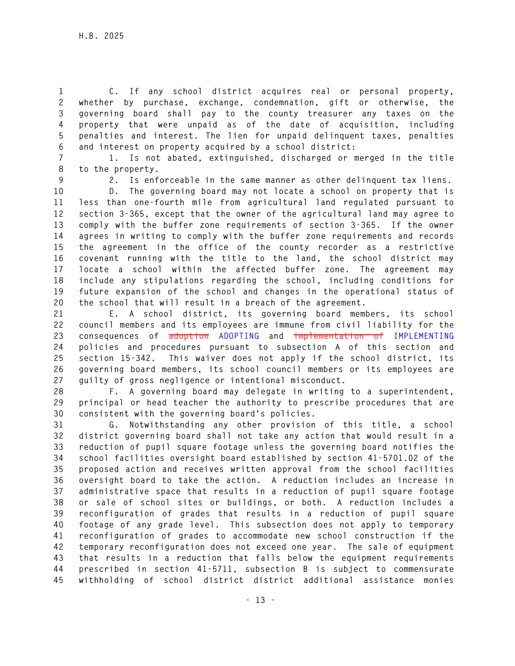**1 C. If any school district acquires real or personal property, 2 whether by purchase, exchange, condemnation, gift or otherwise, the 3 governing board shall pay to the county treasurer any taxes on the 4 property that were unpaid as of the date of acquisition, including 5 penalties and interest. The lien for unpaid delinquent taxes, penalties 6 and interest on property acquired by a school district:** 

**7 1. Is not abated, extinguished, discharged or merged in the title 8 to the property.** 

**9 2. Is enforceable in the same manner as other delinquent tax liens.** 

**10 D. The governing board may not locate a school on property that is 11 less than one-fourth mile from agricultural land regulated pursuant to 12 section 3-365, except that the owner of the agricultural land may agree to 13 comply with the buffer zone requirements of section 3-365. If the owner 14 agrees in writing to comply with the buffer zone requirements and records 15 the agreement in the office of the county recorder as a restrictive 16 covenant running with the title to the land, the school district may 17 locate a school within the affected buffer zone. The agreement may 18 include any stipulations regarding the school, including conditions for 19 future expansion of the school and changes in the operational status of 20 the school that will result in a breach of the agreement.** 

**21 E. A school district, its governing board members, its school 22 council members and its employees are immune from civil liability for the 23 consequences of adoption ADOPTING and implementation of IMPLEMENTING 24 policies and procedures pursuant to subsection A of this section and 25 section 15-342. This waiver does not apply if the school district, its 26 governing board members, its school council members or its employees are 27 guilty of gross negligence or intentional misconduct.** 

**28 F. A governing board may delegate in writing to a superintendent, 29 principal or head teacher the authority to prescribe procedures that are 30 consistent with the governing board's policies.** 

**31 G. Notwithstanding any other provision of this title, a school 32 district governing board shall not take any action that would result in a 33 reduction of pupil square footage unless the governing board notifies the 34 school facilities oversight board established by section 41-5701.02 of the 35 proposed action and receives written approval from the school facilities 36 oversight board to take the action. A reduction includes an increase in 37 administrative space that results in a reduction of pupil square footage 38 or sale of school sites or buildings, or both. A reduction includes a 39 reconfiguration of grades that results in a reduction of pupil square 40 footage of any grade level. This subsection does not apply to temporary 41 reconfiguration of grades to accommodate new school construction if the 42 temporary reconfiguration does not exceed one year. The sale of equipment 43 that results in a reduction that falls below the equipment requirements 44 prescribed in section 41-5711, subsection B is subject to commensurate 45 withholding of school district district additional assistance monies**